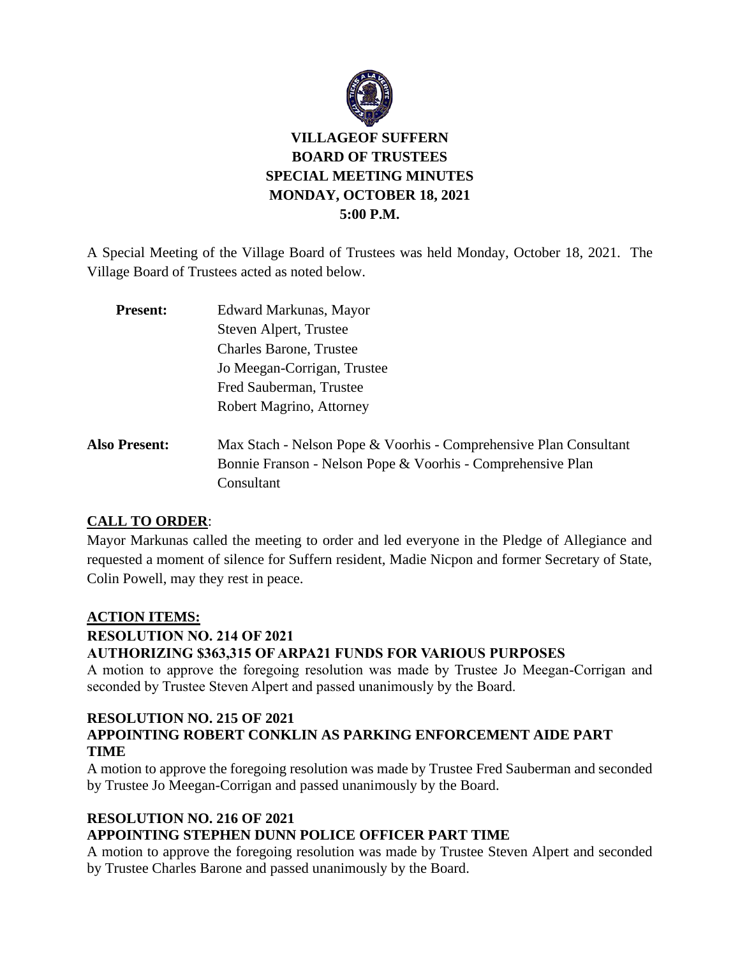

A Special Meeting of the Village Board of Trustees was held Monday, October 18, 2021. The Village Board of Trustees acted as noted below.

| <b>Present:</b>      | Edward Markunas, Mayor                                            |
|----------------------|-------------------------------------------------------------------|
|                      | Steven Alpert, Trustee                                            |
|                      | <b>Charles Barone, Trustee</b>                                    |
|                      | Jo Meegan-Corrigan, Trustee                                       |
|                      | Fred Sauberman, Trustee                                           |
|                      | Robert Magrino, Attorney                                          |
| <b>Also Present:</b> | Max Stach - Nelson Pope & Voorhis - Comprehensive Plan Consultant |
|                      | Bonnie Franson - Nelson Pope & Voorhis - Comprehensive Plan       |
|                      | Consultant                                                        |

### **CALL TO ORDER**:

Mayor Markunas called the meeting to order and led everyone in the Pledge of Allegiance and requested a moment of silence for Suffern resident, Madie Nicpon and former Secretary of State, Colin Powell, may they rest in peace.

### **ACTION ITEMS:**

**RESOLUTION NO. 214 OF 2021**

### **AUTHORIZING \$363,315 OF ARPA21 FUNDS FOR VARIOUS PURPOSES**

A motion to approve the foregoing resolution was made by Trustee Jo Meegan-Corrigan and seconded by Trustee Steven Alpert and passed unanimously by the Board.

#### **RESOLUTION NO. 215 OF 2021 APPOINTING ROBERT CONKLIN AS PARKING ENFORCEMENT AIDE PART TIME**

A motion to approve the foregoing resolution was made by Trustee Fred Sauberman and seconded by Trustee Jo Meegan-Corrigan and passed unanimously by the Board.

# **RESOLUTION NO. 216 OF 2021**

# **APPOINTING STEPHEN DUNN POLICE OFFICER PART TIME**

A motion to approve the foregoing resolution was made by Trustee Steven Alpert and seconded by Trustee Charles Barone and passed unanimously by the Board.